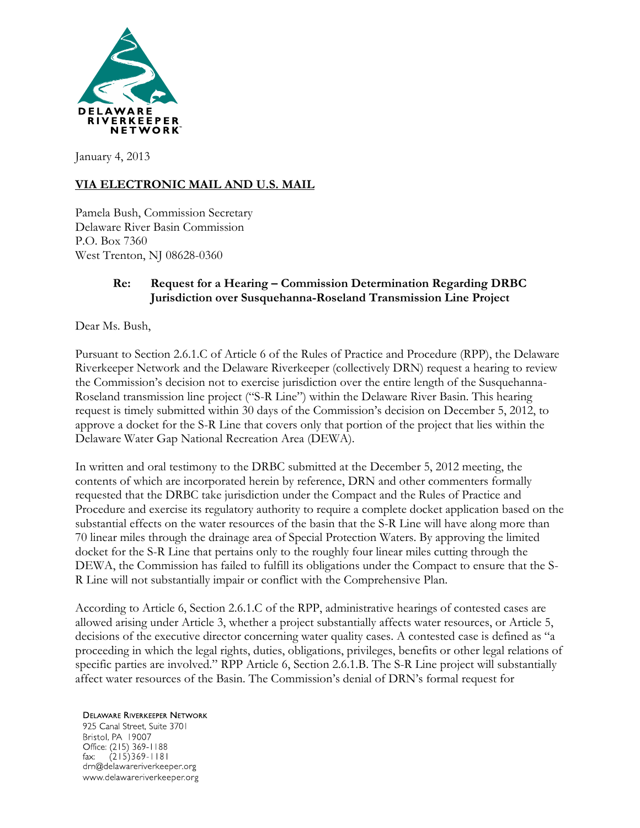

January 4, 2013

# **VIA ELECTRONIC MAIL AND U.S. MAIL**

Pamela Bush, Commission Secretary Delaware River Basin Commission P.O. Box 7360 West Trenton, NJ 08628-0360

#### **Re: Request for a Hearing – Commission Determination Regarding DRBC Jurisdiction over Susquehanna-Roseland Transmission Line Project**

Dear Ms. Bush,

Pursuant to Section 2.6.1.C of Article 6 of the Rules of Practice and Procedure (RPP), the Delaware Riverkeeper Network and the Delaware Riverkeeper (collectively DRN) request a hearing to review the Commission's decision not to exercise jurisdiction over the entire length of the Susquehanna-Roseland transmission line project ("S-R Line") within the Delaware River Basin. This hearing request is timely submitted within 30 days of the Commission's decision on December 5, 2012, to approve a docket for the S-R Line that covers only that portion of the project that lies within the Delaware Water Gap National Recreation Area (DEWA).

In written and oral testimony to the DRBC submitted at the December 5, 2012 meeting, the contents of which are incorporated herein by reference, DRN and other commenters formally requested that the DRBC take jurisdiction under the Compact and the Rules of Practice and Procedure and exercise its regulatory authority to require a complete docket application based on the substantial effects on the water resources of the basin that the S-R Line will have along more than 70 linear miles through the drainage area of Special Protection Waters. By approving the limited docket for the S-R Line that pertains only to the roughly four linear miles cutting through the DEWA, the Commission has failed to fulfill its obligations under the Compact to ensure that the S-R Line will not substantially impair or conflict with the Comprehensive Plan.

According to Article 6, Section 2.6.1.C of the RPP, administrative hearings of contested cases are allowed arising under Article 3, whether a project substantially affects water resources, or Article 5, decisions of the executive director concerning water quality cases. A contested case is defined as "a proceeding in which the legal rights, duties, obligations, privileges, benefits or other legal relations of specific parties are involved." RPP Article 6, Section 2.6.1.B. The S-R Line project will substantially affect water resources of the Basin. The Commission's denial of DRN's formal request for

**DELAWARE RIVERKEEPER NETWORK** 925 Canal Street, Suite 3701 Bristol, PA 19007 Office: (215) 369-1188  $(215)369 - 1181$ fax: drn@delawareriverkeeper.org www.delawareriverkeeper.org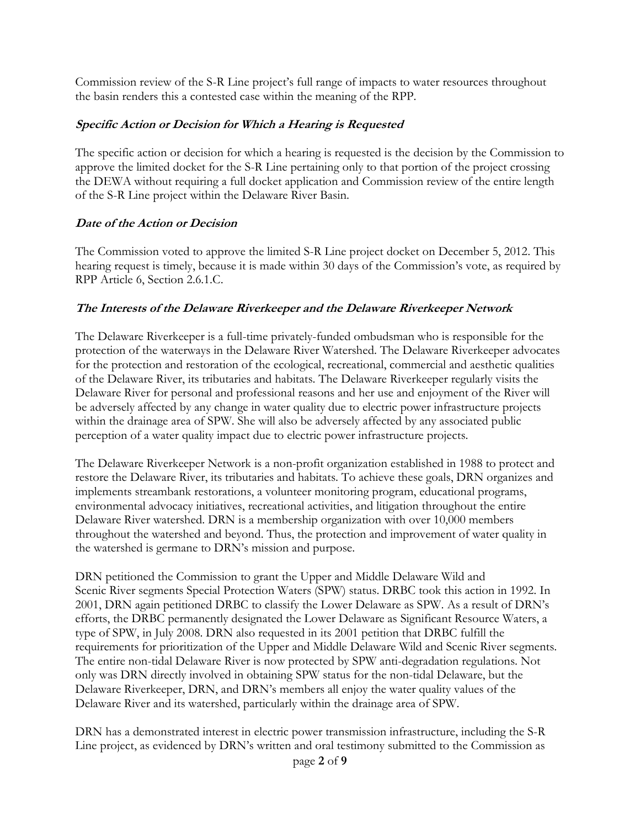Commission review of the S-R Line project's full range of impacts to water resources throughout the basin renders this a contested case within the meaning of the RPP.

### **Specific Action or Decision for Which a Hearing is Requested**

The specific action or decision for which a hearing is requested is the decision by the Commission to approve the limited docket for the S-R Line pertaining only to that portion of the project crossing the DEWA without requiring a full docket application and Commission review of the entire length of the S-R Line project within the Delaware River Basin.

## **Date of the Action or Decision**

The Commission voted to approve the limited S-R Line project docket on December 5, 2012. This hearing request is timely, because it is made within 30 days of the Commission's vote, as required by RPP Article 6, Section 2.6.1.C.

#### **The Interests of the Delaware Riverkeeper and the Delaware Riverkeeper Network**

The Delaware Riverkeeper is a full-time privately-funded ombudsman who is responsible for the protection of the waterways in the Delaware River Watershed. The Delaware Riverkeeper advocates for the protection and restoration of the ecological, recreational, commercial and aesthetic qualities of the Delaware River, its tributaries and habitats. The Delaware Riverkeeper regularly visits the Delaware River for personal and professional reasons and her use and enjoyment of the River will be adversely affected by any change in water quality due to electric power infrastructure projects within the drainage area of SPW. She will also be adversely affected by any associated public perception of a water quality impact due to electric power infrastructure projects.

The Delaware Riverkeeper Network is a non-profit organization established in 1988 to protect and restore the Delaware River, its tributaries and habitats. To achieve these goals, DRN organizes and implements streambank restorations, a volunteer monitoring program, educational programs, environmental advocacy initiatives, recreational activities, and litigation throughout the entire Delaware River watershed. DRN is a membership organization with over 10,000 members throughout the watershed and beyond. Thus, the protection and improvement of water quality in the watershed is germane to DRN's mission and purpose.

DRN petitioned the Commission to grant the Upper and Middle Delaware Wild and Scenic River segments Special Protection Waters (SPW) status. DRBC took this action in 1992. In 2001, DRN again petitioned DRBC to classify the Lower Delaware as SPW. As a result of DRN's efforts, the DRBC permanently designated the Lower Delaware as Significant Resource Waters, a type of SPW, in July 2008. DRN also requested in its 2001 petition that DRBC fulfill the requirements for prioritization of the Upper and Middle Delaware Wild and Scenic River segments. The entire non-tidal Delaware River is now protected by SPW anti-degradation regulations. Not only was DRN directly involved in obtaining SPW status for the non-tidal Delaware, but the Delaware Riverkeeper, DRN, and DRN's members all enjoy the water quality values of the Delaware River and its watershed, particularly within the drainage area of SPW.

DRN has a demonstrated interest in electric power transmission infrastructure, including the S-R Line project, as evidenced by DRN's written and oral testimony submitted to the Commission as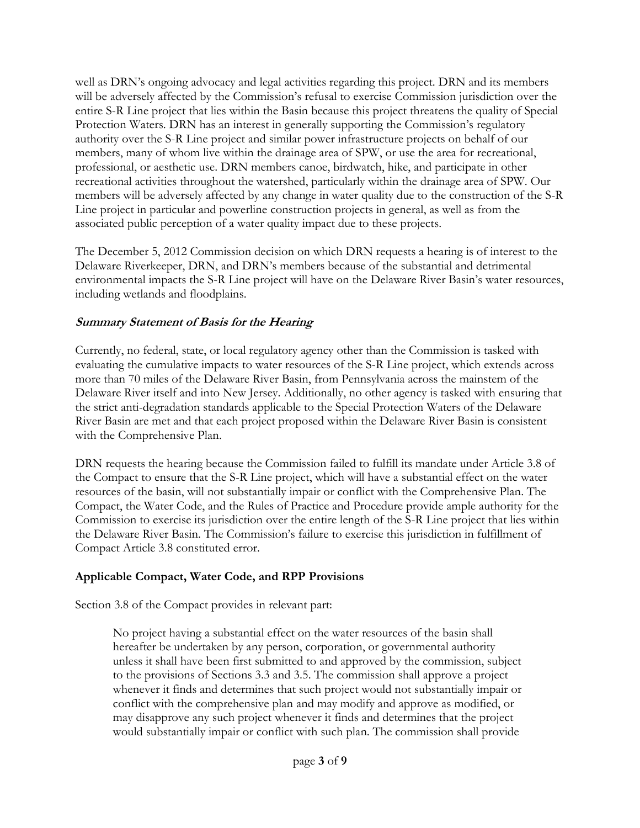well as DRN's ongoing advocacy and legal activities regarding this project. DRN and its members will be adversely affected by the Commission's refusal to exercise Commission jurisdiction over the entire S-R Line project that lies within the Basin because this project threatens the quality of Special Protection Waters. DRN has an interest in generally supporting the Commission's regulatory authority over the S-R Line project and similar power infrastructure projects on behalf of our members, many of whom live within the drainage area of SPW, or use the area for recreational, professional, or aesthetic use. DRN members canoe, birdwatch, hike, and participate in other recreational activities throughout the watershed, particularly within the drainage area of SPW. Our members will be adversely affected by any change in water quality due to the construction of the S-R Line project in particular and powerline construction projects in general, as well as from the associated public perception of a water quality impact due to these projects.

The December 5, 2012 Commission decision on which DRN requests a hearing is of interest to the Delaware Riverkeeper, DRN, and DRN's members because of the substantial and detrimental environmental impacts the S-R Line project will have on the Delaware River Basin's water resources, including wetlands and floodplains.

## **Summary Statement of Basis for the Hearing**

Currently, no federal, state, or local regulatory agency other than the Commission is tasked with evaluating the cumulative impacts to water resources of the S-R Line project, which extends across more than 70 miles of the Delaware River Basin, from Pennsylvania across the mainstem of the Delaware River itself and into New Jersey. Additionally, no other agency is tasked with ensuring that the strict anti-degradation standards applicable to the Special Protection Waters of the Delaware River Basin are met and that each project proposed within the Delaware River Basin is consistent with the Comprehensive Plan.

DRN requests the hearing because the Commission failed to fulfill its mandate under Article 3.8 of the Compact to ensure that the S-R Line project, which will have a substantial effect on the water resources of the basin, will not substantially impair or conflict with the Comprehensive Plan. The Compact, the Water Code, and the Rules of Practice and Procedure provide ample authority for the Commission to exercise its jurisdiction over the entire length of the S-R Line project that lies within the Delaware River Basin. The Commission's failure to exercise this jurisdiction in fulfillment of Compact Article 3.8 constituted error.

#### **Applicable Compact, Water Code, and RPP Provisions**

Section 3.8 of the Compact provides in relevant part:

No project having a substantial effect on the water resources of the basin shall hereafter be undertaken by any person, corporation, or governmental authority unless it shall have been first submitted to and approved by the commission, subject to the provisions of Sections 3.3 and 3.5. The commission shall approve a project whenever it finds and determines that such project would not substantially impair or conflict with the comprehensive plan and may modify and approve as modified, or may disapprove any such project whenever it finds and determines that the project would substantially impair or conflict with such plan. The commission shall provide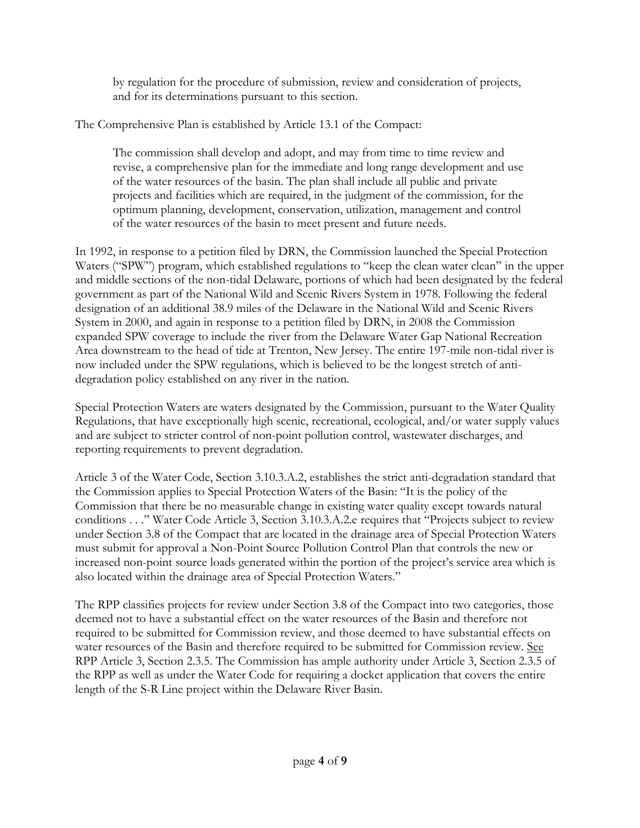by regulation for the procedure of submission, review and consideration of projects, and for its determinations pursuant to this section.

The Comprehensive Plan is established by Article 13.1 of the Compact:

The commission shall develop and adopt, and may from time to time review and revise, a comprehensive plan for the immediate and long range development and use of the water resources of the basin. The plan shall include all public and private projects and facilities which are required, in the judgment of the commission, for the optimum planning, development, conservation, utilization, management and control of the water resources of the basin to meet present and future needs.

In 1992, in response to a petition filed by DRN, the Commission launched the Special Protection Waters ("SPW") program, which established regulations to "keep the clean water clean" in the upper and middle sections of the non-tidal Delaware, portions of which had been designated by the federal government as part of the National Wild and Scenic Rivers System in 1978. Following the federal designation of an additional 38.9 miles of the Delaware in the National Wild and Scenic Rivers System in 2000, and again in response to a petition filed by DRN, in 2008 the Commission expanded SPW coverage to include the river from the Delaware Water Gap National Recreation Area downstream to the head of tide at Trenton, New Jersey. The entire 197-mile non-tidal river is now included under the SPW regulations, which is believed to be the longest stretch of antidegradation policy established on any river in the nation.

Special Protection Waters are waters designated by the Commission, pursuant to the Water Quality Regulations, that have exceptionally high scenic, recreational, ecological, and/or water supply values and are subject to stricter control of non-point pollution control, wastewater discharges, and reporting requirements to prevent degradation.

Article 3 of the Water Code, Section 3.10.3.A.2, establishes the strict anti-degradation standard that the Commission applies to Special Protection Waters of the Basin: "It is the policy of the Commission that there be no measurable change in existing water quality except towards natural conditions . . ." Water Code Article 3, Section 3.10.3.A.2.e requires that "Projects subject to review under Section 3.8 of the Compact that are located in the drainage area of Special Protection Waters must submit for approval a Non-Point Source Pollution Control Plan that controls the new or increased non-point source loads generated within the portion of the project's service area which is also located within the drainage area of Special Protection Waters."

The RPP classifies projects for review under Section 3.8 of the Compact into two categories, those deemed not to have a substantial effect on the water resources of the Basin and therefore not required to be submitted for Commission review, and those deemed to have substantial effects on water resources of the Basin and therefore required to be submitted for Commission review. See RPP Article 3, Section 2.3.5. The Commission has ample authority under Article 3, Section 2.3.5 of the RPP as well as under the Water Code for requiring a docket application that covers the entire length of the S-R Line project within the Delaware River Basin.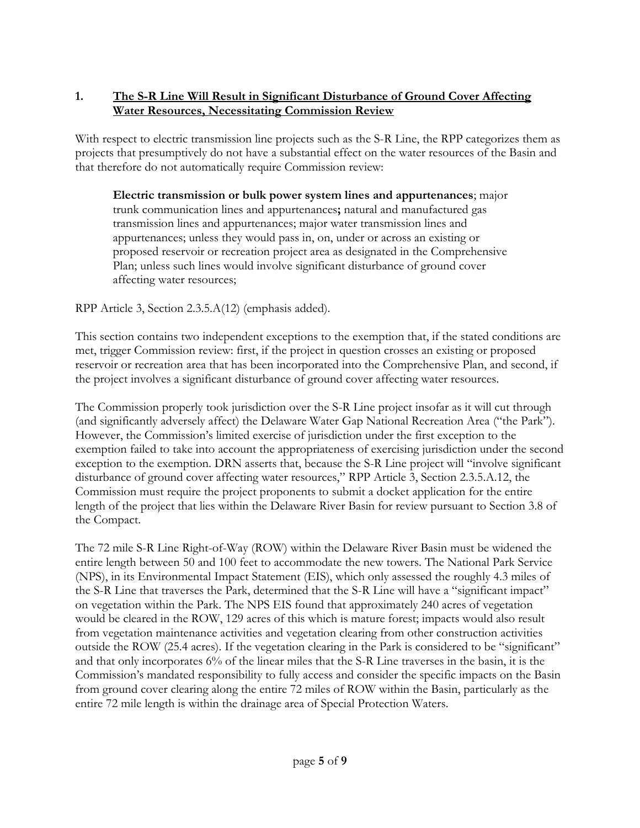## **1. The S-R Line Will Result in Significant Disturbance of Ground Cover Affecting Water Resources, Necessitating Commission Review**

With respect to electric transmission line projects such as the S-R Line, the RPP categorizes them as projects that presumptively do not have a substantial effect on the water resources of the Basin and that therefore do not automatically require Commission review:

**Electric transmission or bulk power system lines and appurtenances**; major trunk communication lines and appurtenances**;** natural and manufactured gas transmission lines and appurtenances; major water transmission lines and appurtenances; unless they would pass in, on, under or across an existing or proposed reservoir or recreation project area as designated in the Comprehensive Plan; unless such lines would involve significant disturbance of ground cover affecting water resources;

RPP Article 3, Section 2.3.5.A(12) (emphasis added).

This section contains two independent exceptions to the exemption that, if the stated conditions are met, trigger Commission review: first, if the project in question crosses an existing or proposed reservoir or recreation area that has been incorporated into the Comprehensive Plan, and second, if the project involves a significant disturbance of ground cover affecting water resources.

The Commission properly took jurisdiction over the S-R Line project insofar as it will cut through (and significantly adversely affect) the Delaware Water Gap National Recreation Area ("the Park"). However, the Commission's limited exercise of jurisdiction under the first exception to the exemption failed to take into account the appropriateness of exercising jurisdiction under the second exception to the exemption. DRN asserts that, because the S-R Line project will "involve significant disturbance of ground cover affecting water resources," RPP Article 3, Section 2.3.5.A.12, the Commission must require the project proponents to submit a docket application for the entire length of the project that lies within the Delaware River Basin for review pursuant to Section 3.8 of the Compact.

The 72 mile S-R Line Right-of-Way (ROW) within the Delaware River Basin must be widened the entire length between 50 and 100 feet to accommodate the new towers. The National Park Service (NPS), in its Environmental Impact Statement (EIS), which only assessed the roughly 4.3 miles of the S-R Line that traverses the Park, determined that the S-R Line will have a "significant impact" on vegetation within the Park. The NPS EIS found that approximately 240 acres of vegetation would be cleared in the ROW, 129 acres of this which is mature forest; impacts would also result from vegetation maintenance activities and vegetation clearing from other construction activities outside the ROW (25.4 acres). If the vegetation clearing in the Park is considered to be "significant" and that only incorporates 6% of the linear miles that the S-R Line traverses in the basin, it is the Commission's mandated responsibility to fully access and consider the specific impacts on the Basin from ground cover clearing along the entire 72 miles of ROW within the Basin, particularly as the entire 72 mile length is within the drainage area of Special Protection Waters.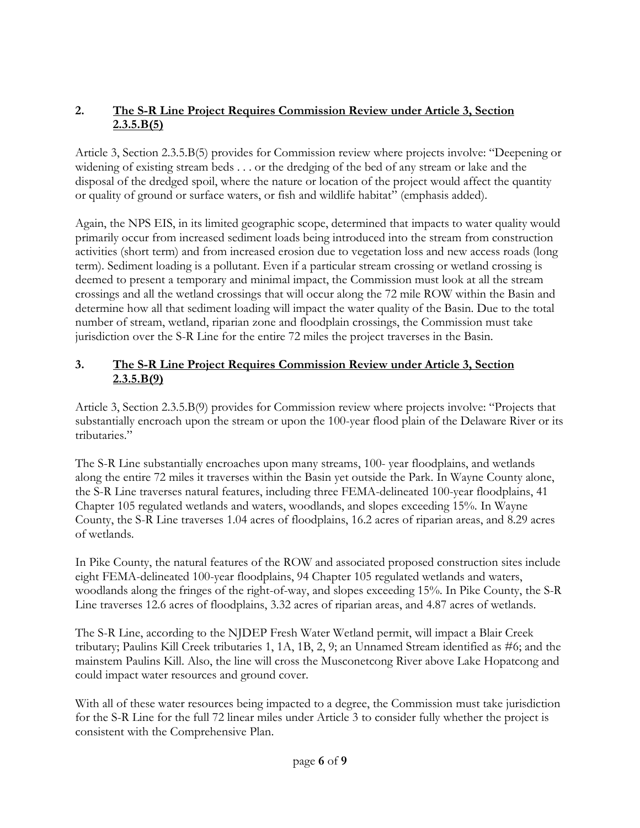# **2. The S-R Line Project Requires Commission Review under Article 3, Section 2.3.5.B(5)**

Article 3, Section 2.3.5.B(5) provides for Commission review where projects involve: "Deepening or widening of existing stream beds . . . or the dredging of the bed of any stream or lake and the disposal of the dredged spoil, where the nature or location of the project would affect the quantity or quality of ground or surface waters, or fish and wildlife habitat" (emphasis added).

Again, the NPS EIS, in its limited geographic scope, determined that impacts to water quality would primarily occur from increased sediment loads being introduced into the stream from construction activities (short term) and from increased erosion due to vegetation loss and new access roads (long term). Sediment loading is a pollutant. Even if a particular stream crossing or wetland crossing is deemed to present a temporary and minimal impact, the Commission must look at all the stream crossings and all the wetland crossings that will occur along the 72 mile ROW within the Basin and determine how all that sediment loading will impact the water quality of the Basin. Due to the total number of stream, wetland, riparian zone and floodplain crossings, the Commission must take jurisdiction over the S-R Line for the entire 72 miles the project traverses in the Basin.

# **3. The S-R Line Project Requires Commission Review under Article 3, Section 2.3.5.B(9)**

Article 3, Section 2.3.5.B(9) provides for Commission review where projects involve: "Projects that substantially encroach upon the stream or upon the 100-year flood plain of the Delaware River or its tributaries."

The S-R Line substantially encroaches upon many streams, 100- year floodplains, and wetlands along the entire 72 miles it traverses within the Basin yet outside the Park. In Wayne County alone, the S-R Line traverses natural features, including three FEMA-delineated 100-year floodplains, 41 Chapter 105 regulated wetlands and waters, woodlands, and slopes exceeding 15%. In Wayne County, the S-R Line traverses 1.04 acres of floodplains, 16.2 acres of riparian areas, and 8.29 acres of wetlands.

In Pike County, the natural features of the ROW and associated proposed construction sites include eight FEMA-delineated 100-year floodplains, 94 Chapter 105 regulated wetlands and waters, woodlands along the fringes of the right-of-way, and slopes exceeding 15%. In Pike County, the S-R Line traverses 12.6 acres of floodplains, 3.32 acres of riparian areas, and 4.87 acres of wetlands.

The S-R Line, according to the NJDEP Fresh Water Wetland permit, will impact a Blair Creek tributary; Paulins Kill Creek tributaries 1, 1A, 1B, 2, 9; an Unnamed Stream identified as #6; and the mainstem Paulins Kill. Also, the line will cross the Musconetcong River above Lake Hopatcong and could impact water resources and ground cover.

With all of these water resources being impacted to a degree, the Commission must take jurisdiction for the S-R Line for the full 72 linear miles under Article 3 to consider fully whether the project is consistent with the Comprehensive Plan.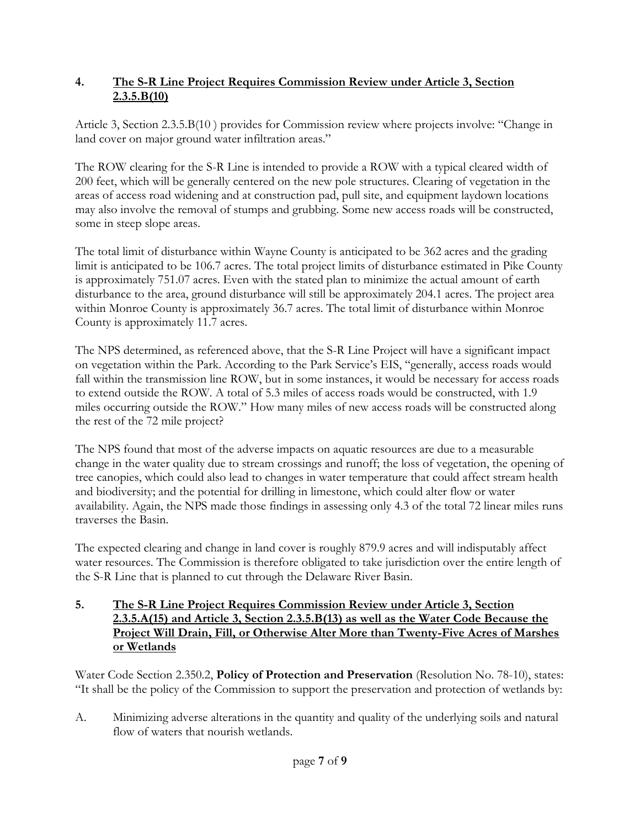## **4. The S-R Line Project Requires Commission Review under Article 3, Section 2.3.5.B(10)**

Article 3, Section 2.3.5.B(10 ) provides for Commission review where projects involve: "Change in land cover on major ground water infiltration areas."

The ROW clearing for the S-R Line is intended to provide a ROW with a typical cleared width of 200 feet, which will be generally centered on the new pole structures. Clearing of vegetation in the areas of access road widening and at construction pad, pull site, and equipment laydown locations may also involve the removal of stumps and grubbing. Some new access roads will be constructed, some in steep slope areas.

The total limit of disturbance within Wayne County is anticipated to be 362 acres and the grading limit is anticipated to be 106.7 acres. The total project limits of disturbance estimated in Pike County is approximately 751.07 acres. Even with the stated plan to minimize the actual amount of earth disturbance to the area, ground disturbance will still be approximately 204.1 acres. The project area within Monroe County is approximately 36.7 acres. The total limit of disturbance within Monroe County is approximately 11.7 acres.

The NPS determined, as referenced above, that the S-R Line Project will have a significant impact on vegetation within the Park. According to the Park Service's EIS, "generally, access roads would fall within the transmission line ROW, but in some instances, it would be necessary for access roads to extend outside the ROW. A total of 5.3 miles of access roads would be constructed, with 1.9 miles occurring outside the ROW." How many miles of new access roads will be constructed along the rest of the 72 mile project?

The NPS found that most of the adverse impacts on aquatic resources are due to a measurable change in the water quality due to stream crossings and runoff; the loss of vegetation, the opening of tree canopies, which could also lead to changes in water temperature that could affect stream health and biodiversity; and the potential for drilling in limestone, which could alter flow or water availability. Again, the NPS made those findings in assessing only 4.3 of the total 72 linear miles runs traverses the Basin.

The expected clearing and change in land cover is roughly 879.9 acres and will indisputably affect water resources. The Commission is therefore obligated to take jurisdiction over the entire length of the S-R Line that is planned to cut through the Delaware River Basin.

#### **5. The S-R Line Project Requires Commission Review under Article 3, Section 2.3.5.A(15) and Article 3, Section 2.3.5.B(13) as well as the Water Code Because the Project Will Drain, Fill, or Otherwise Alter More than Twenty-Five Acres of Marshes or Wetlands**

Water Code Section 2.350.2, **Policy of Protection and Preservation** (Resolution No. 78-10), states: "It shall be the policy of the Commission to support the preservation and protection of wetlands by:

A. Minimizing adverse alterations in the quantity and quality of the underlying soils and natural flow of waters that nourish wetlands.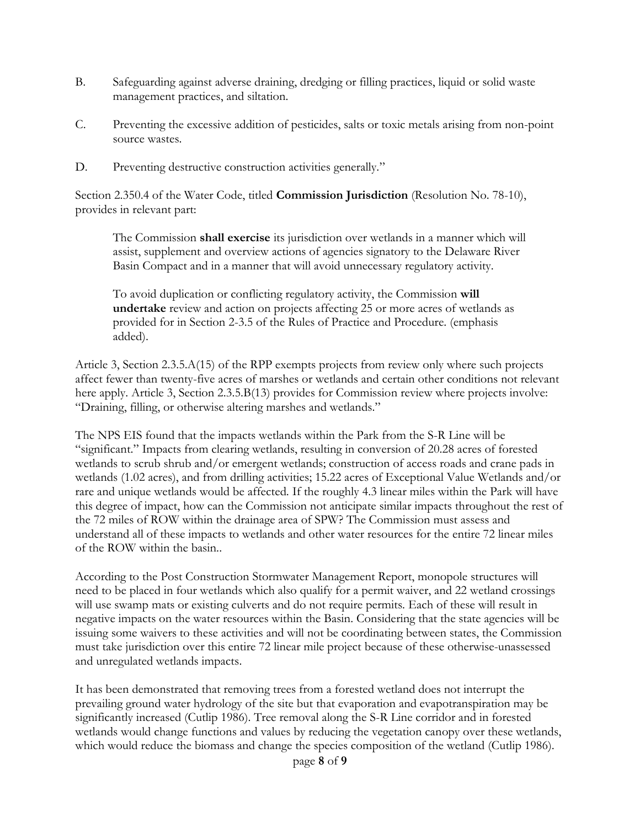- B. Safeguarding against adverse draining, dredging or filling practices, liquid or solid waste management practices, and siltation.
- C. Preventing the excessive addition of pesticides, salts or toxic metals arising from non-point source wastes.
- D. Preventing destructive construction activities generally."

Section 2.350.4 of the Water Code, titled **Commission Jurisdiction** (Resolution No. 78-10), provides in relevant part:

The Commission **shall exercise** its jurisdiction over wetlands in a manner which will assist, supplement and overview actions of agencies signatory to the Delaware River Basin Compact and in a manner that will avoid unnecessary regulatory activity.

To avoid duplication or conflicting regulatory activity, the Commission **will undertake** review and action on projects affecting 25 or more acres of wetlands as provided for in Section 2-3.5 of the Rules of Practice and Procedure. (emphasis added).

Article 3, Section 2.3.5.A(15) of the RPP exempts projects from review only where such projects affect fewer than twenty-five acres of marshes or wetlands and certain other conditions not relevant here apply. Article 3, Section 2.3.5.B(13) provides for Commission review where projects involve: "Draining, filling, or otherwise altering marshes and wetlands."

The NPS EIS found that the impacts wetlands within the Park from the S-R Line will be "significant." Impacts from clearing wetlands, resulting in conversion of 20.28 acres of forested wetlands to scrub shrub and/or emergent wetlands; construction of access roads and crane pads in wetlands (1.02 acres), and from drilling activities; 15.22 acres of Exceptional Value Wetlands and/or rare and unique wetlands would be affected. If the roughly 4.3 linear miles within the Park will have this degree of impact, how can the Commission not anticipate similar impacts throughout the rest of the 72 miles of ROW within the drainage area of SPW? The Commission must assess and understand all of these impacts to wetlands and other water resources for the entire 72 linear miles of the ROW within the basin..

According to the Post Construction Stormwater Management Report, monopole structures will need to be placed in four wetlands which also qualify for a permit waiver, and 22 wetland crossings will use swamp mats or existing culverts and do not require permits. Each of these will result in negative impacts on the water resources within the Basin. Considering that the state agencies will be issuing some waivers to these activities and will not be coordinating between states, the Commission must take jurisdiction over this entire 72 linear mile project because of these otherwise-unassessed and unregulated wetlands impacts.

It has been demonstrated that removing trees from a forested wetland does not interrupt the prevailing ground water hydrology of the site but that evaporation and evapotranspiration may be significantly increased (Cutlip 1986). Tree removal along the S-R Line corridor and in forested wetlands would change functions and values by reducing the vegetation canopy over these wetlands, which would reduce the biomass and change the species composition of the wetland (Cutlip 1986).